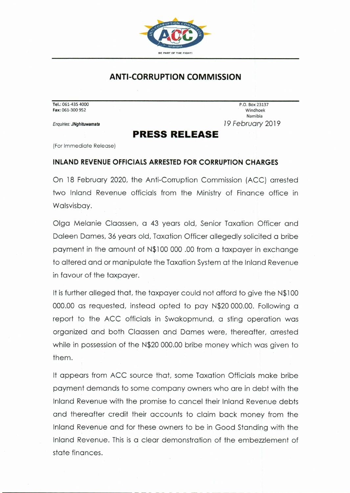

## **ANTI-CORRUPTION COMMISSION**

**Tel.:** 061-435 4000 P.O. Box 23137 **Fax:** 061-300 952 Windhoek

Namibia Enquiries: **JNghituwamata** 19 February 2019

## **PRESS RELEASE**

(For Immediate Release)

## **INLAND REVENUE OFFICIALS ARRESTED FOR CORRUPTION CHARGES**

On 18 February 2020, the Anti-Corruption Commission (ACC) arrested two Inland Revenue officials from the Ministry of Finance office in Walsvisbay.

Olga Melanie Claassen, a 43 years old, Senior Taxation Officer and Daleen Dames, 36 years old, Taxation Officer allegedly solicited a bribe payment in the amount of N\$100 000 .00 from a taxpayer in exchange to altered and or manipulate the Taxation System at the Inland Revenue in favour of the taxpayer.

It is further alleged that, the taxpayer could not afford to give the N\$100 000.00 as requested, instead opted to pay N\$20 000.00. Following a report to the ACC officials in Swakopmund, a sting operation was organized and both Claassen and Dames were, thereafter, arrested while in possession of the N\$20 000.00 bribe money which was given to them.

It appears from ACC source that, some Taxation Officials make bribe payment demands to some company owners who are in debt with the Inland Revenue with the promise to cancel their Inland Revenue debts and thereafter credit their accounts to claim back money from the Inland Revenue and for these owners to be in Good Standing with the Inland Revenue. This is a clear demonstration of the embezzlement of state finances.